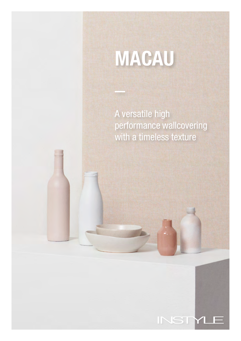# MACAU

A versatile high performance wallcovering with a timeless texture

INSTY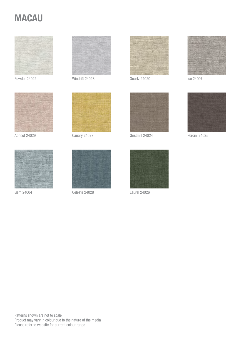## **MACAU**





Apricot 24029





Powder 24022 Windrift 24023



Canary 24027



Quartz 24020



Ice 24007



Gristmill 24024 Porcini 24025





Gem 24004 Celeste 24028



Laurel 24026